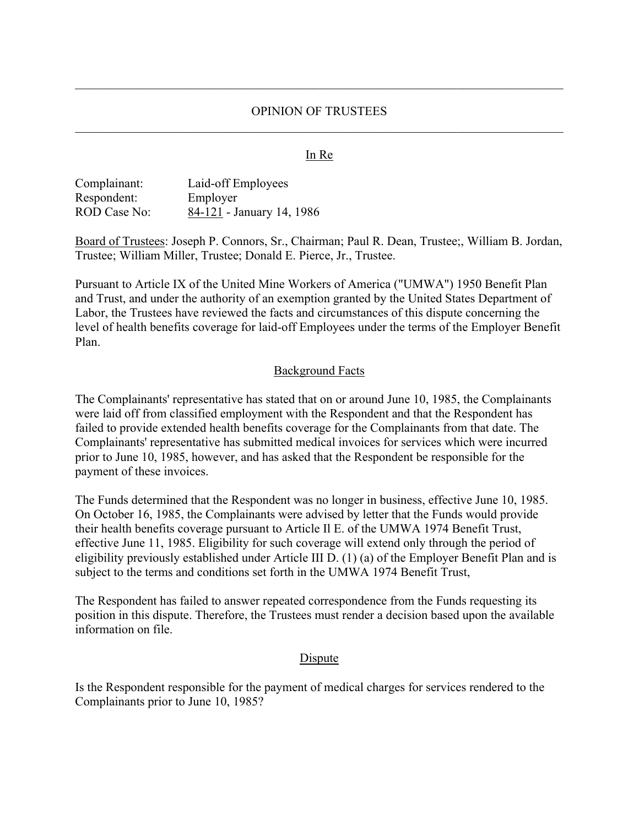#### OPINION OF TRUSTEES

#### In Re

| Complainant: | Laid-off Employees        |
|--------------|---------------------------|
| Respondent:  | Employer                  |
| ROD Case No: | 84-121 - January 14, 1986 |

Board of Trustees: Joseph P. Connors, Sr., Chairman; Paul R. Dean, Trustee;, William B. Jordan, Trustee; William Miller, Trustee; Donald E. Pierce, Jr., Trustee.

Pursuant to Article IX of the United Mine Workers of America ("UMWA") 1950 Benefit Plan and Trust, and under the authority of an exemption granted by the United States Department of Labor, the Trustees have reviewed the facts and circumstances of this dispute concerning the level of health benefits coverage for laid-off Employees under the terms of the Employer Benefit Plan.

#### Background Facts

The Complainants' representative has stated that on or around June 10, 1985, the Complainants were laid off from classified employment with the Respondent and that the Respondent has failed to provide extended health benefits coverage for the Complainants from that date. The Complainants' representative has submitted medical invoices for services which were incurred prior to June 10, 1985, however, and has asked that the Respondent be responsible for the payment of these invoices.

The Funds determined that the Respondent was no longer in business, effective June 10, 1985. On October 16, 1985, the Complainants were advised by letter that the Funds would provide their health benefits coverage pursuant to Article Il E. of the UMWA 1974 Benefit Trust, effective June 11, 1985. Eligibility for such coverage will extend only through the period of eligibility previously established under Article III D. (1) (a) of the Employer Benefit Plan and is subject to the terms and conditions set forth in the UMWA 1974 Benefit Trust,

The Respondent has failed to answer repeated correspondence from the Funds requesting its position in this dispute. Therefore, the Trustees must render a decision based upon the available information on file.

#### **D**ispute

Is the Respondent responsible for the payment of medical charges for services rendered to the Complainants prior to June 10, 1985?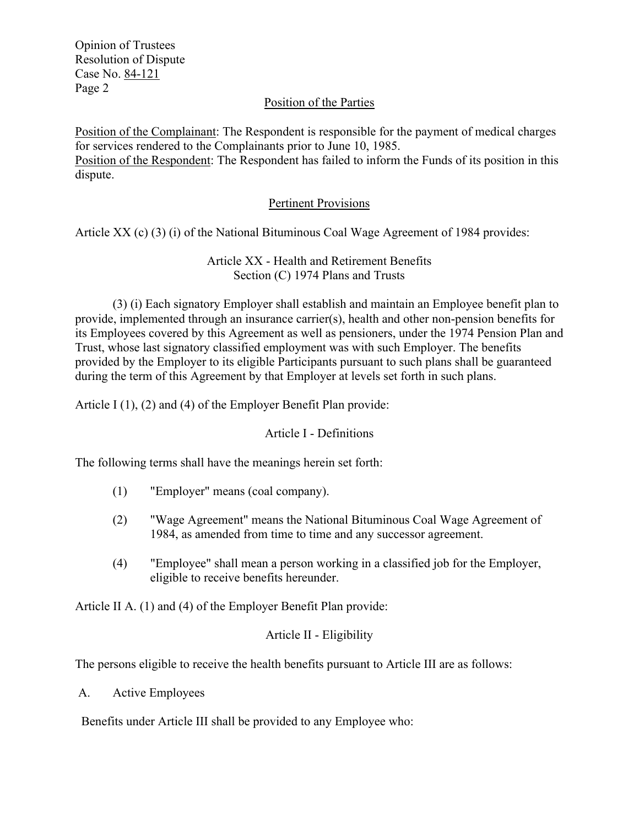Opinion of Trustees Resolution of Dispute Case No. 84-121 Page 2

## Position of the Parties

Position of the Complainant: The Respondent is responsible for the payment of medical charges for services rendered to the Complainants prior to June 10, 1985. Position of the Respondent: The Respondent has failed to inform the Funds of its position in this dispute.

## Pertinent Provisions

Article XX (c) (3) (i) of the National Bituminous Coal Wage Agreement of 1984 provides:

Article XX - Health and Retirement Benefits Section (C) 1974 Plans and Trusts

(3) (i) Each signatory Employer shall establish and maintain an Employee benefit plan to provide, implemented through an insurance carrier(s), health and other non-pension benefits for its Employees covered by this Agreement as well as pensioners, under the 1974 Pension Plan and Trust, whose last signatory classified employment was with such Employer. The benefits provided by the Employer to its eligible Participants pursuant to such plans shall be guaranteed during the term of this Agreement by that Employer at levels set forth in such plans.

Article I (1), (2) and (4) of the Employer Benefit Plan provide:

#### Article I - Definitions

The following terms shall have the meanings herein set forth:

- (1) "Employer" means (coal company).
- (2) "Wage Agreement" means the National Bituminous Coal Wage Agreement of 1984, as amended from time to time and any successor agreement.
- (4) "Employee" shall mean a person working in a classified job for the Employer, eligible to receive benefits hereunder.

Article II A. (1) and (4) of the Employer Benefit Plan provide:

# Article II - Eligibility

The persons eligible to receive the health benefits pursuant to Article III are as follows:

A. Active Employees

Benefits under Article III shall be provided to any Employee who: